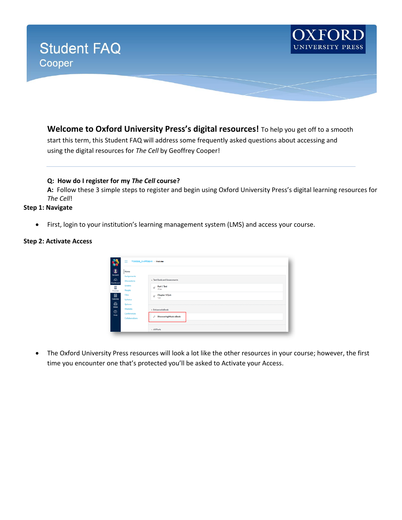

**Welcome to Oxford University Press's digital resources!** To help you get off to a smooth start this term, this Student FAQ will address some frequently asked questions about accessing and using the digital resources for *The Cell* by Geoffrey Cooper!

**Q: How do I register for my** *The Cell* **course?** 

**A:** Follow these 3 simple steps to register and begin using Oxford University Press's digital learning resources for *The Cell*!

### **Step 1: Navigate**

• First, login to your institution's learning management system (LMS) and access your course.

## **Step 2: Activate Access**

| $\bullet$<br>Home                                              |                                           |
|----------------------------------------------------------------|-------------------------------------------|
| Account<br>Assignments<br>෬<br><b>Discussions</b><br>Dashboard | · Test Bank and Assessments               |
| Grades<br>Ξ<br>People<br>Courses                               | Part 1 Test<br>$\mathcal{D}$<br>37 pts    |
| 圓<br>Files<br>Calendar<br>Syllabus                             | Chapter 1 Quiz<br>$\mathbb{Z}^2$<br>7 pts |
| ₿<br>Quizzes<br>Inbox<br>Modules<br>$^{\circ}$<br>Conferences  | · Enhanced eBook                          |
| Help<br><b>Collaborations</b>                                  | v<br><b>Discovering Music eBook</b>       |

• The Oxford University Press resources will look a lot like the other resources in your course; however, the first time you encounter one that's protected you'll be asked to Activate your Access.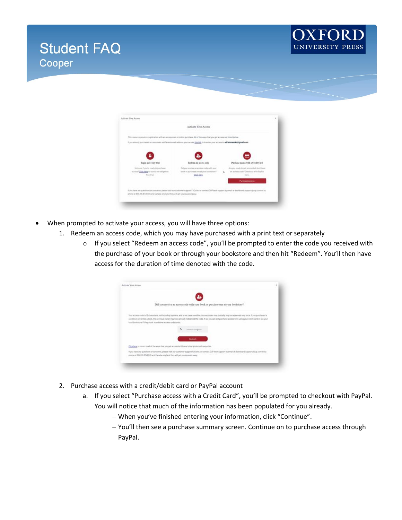



| This resource requires registration with an access code or philine purchase. All of the ways that you get access are listed believ.      |                                                                                                              |    |                                                                                                    |  |
|------------------------------------------------------------------------------------------------------------------------------------------|--------------------------------------------------------------------------------------------------------------|----|----------------------------------------------------------------------------------------------------|--|
| If you arrestly purchased access under a different email address you can use this link to transfer your access to addarmatiod gmall.com. |                                                                                                              |    |                                                                                                    |  |
| £.                                                                                                                                       |                                                                                                              |    |                                                                                                    |  |
| Begin as 14-day wish                                                                                                                     | Referen as access code                                                                                       |    | Purchase access with a Credit Carif.                                                               |  |
| Not sure if you're Heady to purchase<br>accessor) Client have to start a no-skillgation.<br>foie trial.                                  | Did you receive an access code with your<br>forestates and said are searching to Austi-<br><b>Click here</b> | ö. | Aire positionly to get access but don't have<br>an acurate code? Checkoat with PayPat.<br>Tuesday. |  |
|                                                                                                                                          |                                                                                                              |    | <b>Purchase access</b>                                                                             |  |

- When prompted to activate your access, you will have three options:
	- 1. Redeem an access code, which you may have purchased with a print text or separately
		- o If you select "Redeem an access code", you'll be prompted to enter the code you received with the purchase of your book or through your bookstore and then hit "Redeem". You'll then have access for the duration of time denoted with the code.

| Did you receive an access code with your book or purchase one at your bookstore?                                                                                                                                                                                                                                                                                                                                                               |  |
|------------------------------------------------------------------------------------------------------------------------------------------------------------------------------------------------------------------------------------------------------------------------------------------------------------------------------------------------------------------------------------------------------------------------------------------------|--|
| Your access code is 10 characters, not including hyphens, and is not case sensitive, Access codes may typically only be redeemed only once. If you porchased a<br>used book or rented a book. He previous owner may have already redeemed the code. If an, you can still purchase access here using your credit card or ask your<br>local localistors if they stock standatone access code cards.<br><b>SORRY CORPORATION</b><br><b>Padsam</b> |  |
| Click hang to return to all of the ways that you get access to this and other protected resources.                                                                                                                                                                                                                                                                                                                                             |  |
| If you have any questions or concerns, please visit our customer support FAO site, or contact DUP tech support by email at distribourd support (lying, com or by<br>phone at 855,281,8748 EUS and Canada snighand they will get you squared every.                                                                                                                                                                                             |  |

- 2. Purchase access with a credit/debit card or PayPal account
	- a. If you select "Purchase access with a Credit Card", you'll be prompted to checkout with PayPal. You will notice that much of the information has been populated for you already.
		- − When you've finished entering your information, click "Continue".
		- − You'll then see a purchase summary screen. Continue on to purchase access through PayPal.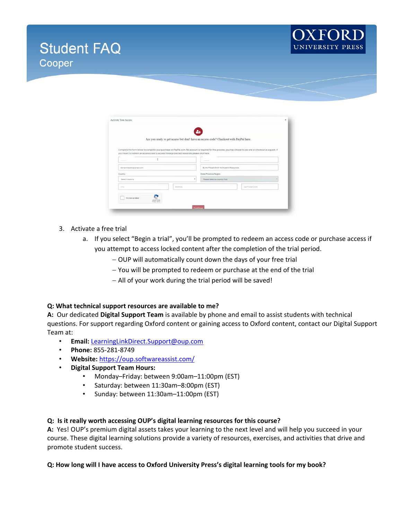



|                                                                                                                                                                                                                                                             |          | 2+<br>Are you ready to get access but don't have an access code? Checkout with PayPal here. |               |  |  |
|-------------------------------------------------------------------------------------------------------------------------------------------------------------------------------------------------------------------------------------------------------------|----------|---------------------------------------------------------------------------------------------|---------------|--|--|
| Complete the form below to complete your purchase on PayPal.com. No account is required for this process, you may choose to use one or checkout as a quest. If<br>you meant to redeem an access code to access these protected resources please click here. |          |                                                                                             |               |  |  |
|                                                                                                                                                                                                                                                             |          |                                                                                             |               |  |  |
| agranmaszkölpigmák.com                                                                                                                                                                                                                                      |          | By the People Brief 4a Student Resources                                                    |               |  |  |
| Country                                                                                                                                                                                                                                                     |          | <b>State/Province/Region</b>                                                                |               |  |  |
| Salect country                                                                                                                                                                                                                                              | ٠        | Please select a country first                                                               |               |  |  |
| Oti                                                                                                                                                                                                                                                         | Anteress |                                                                                             | Zaimatal Code |  |  |

### 3. Activate a free trial

- a. If you select "Begin a trial", you'll be prompted to redeem an access code or purchase access if you attempt to access locked content after the completion of the trial period.
	- − OUP will automatically count down the days of your free trial
	- − You will be prompted to redeem or purchase at the end of the trial
	- − All of your work during the trial period will be saved!

### **Q: What technical support resources are available to me?**

**A:** Our dedicated **Digital Support Team** is available by phone and email to assist students with technical questions. For support regarding Oxford content or gaining access to Oxford content, contact our Digital Support Team at:

- **Email:** [LearningLinkDirect.Support@oup.com](mailto:LearningLinkDirect.Support@oup.com)
- **Phone:** 855-281-8749
- **Website:** <https://oup.softwareassist.com/>
- **Digital Support Team Hours:**
	- Monday–Friday: between 9:00am–11:00pm (EST)
	- Saturday: between 11:30am–8:00pm (EST)
	- Sunday: between 11:30am–11:00pm (EST)

### **Q: Is it really worth accessing OUP's digital learning resources for this course?**

**A:** Yes! OUP's premium digital assets takes your learning to the next level and will help you succeed in your course. These digital learning solutions provide a variety of resources, exercises, and activities that drive and promote student success.

### **Q: How long will I have access to Oxford University Press's digital learning tools for my book?**